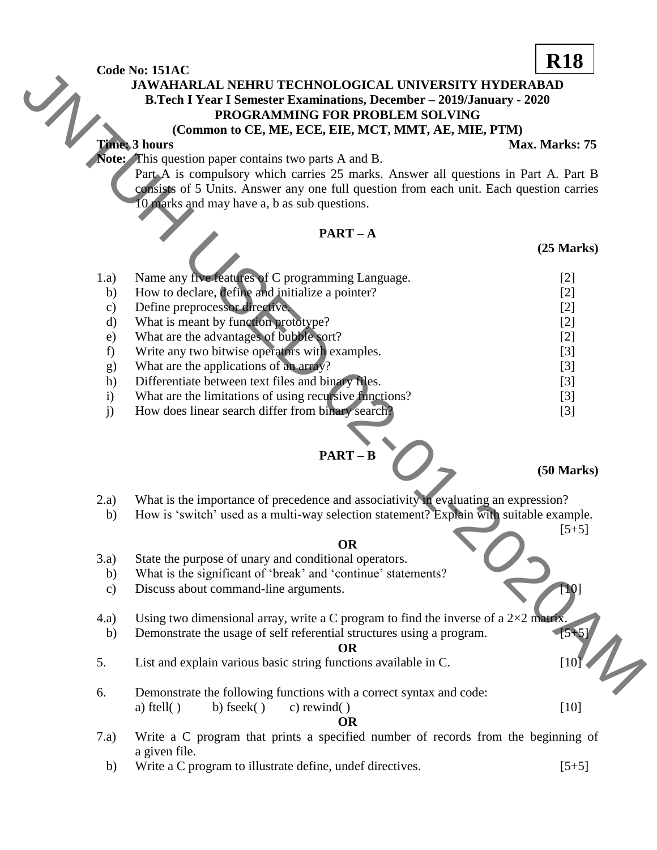# **JAWAHARLAL NEHRU TECHNOLOGICAL UNIVERSITY HYDERABAD B.Tech I Year I Semester Examinations, December – 2019/January - 2020 PROGRAMMING FOR PROBLEM SOLVING (Common to CE, ME, ECE, EIE, MCT, MMT, AE, MIE, PTM)**

### **Time: 3 hours** Max. Marks: 75

# **PART – A**

|               |                                                                                                                                                                                | <b>R18</b>      |
|---------------|--------------------------------------------------------------------------------------------------------------------------------------------------------------------------------|-----------------|
|               | Code No: 151AC<br><b>JAWAHARLAL NEHRU TECHNOLOGICAL UNIVERSITY HYDERABAD</b>                                                                                                   |                 |
|               | <b>B.Tech I Year I Semester Examinations, December - 2019/January - 2020</b>                                                                                                   |                 |
|               | PROGRAMMING FOR PROBLEM SOLVING                                                                                                                                                |                 |
|               | (Common to CE, ME, ECE, EIE, MCT, MMT, AE, MIE, PTM)                                                                                                                           |                 |
|               | <b>Time: 3 hours</b>                                                                                                                                                           | Max. Marks: 75  |
|               | Note: This question paper contains two parts A and B.                                                                                                                          |                 |
|               | Part A is compulsory which carries 25 marks. Answer all questions in Part A. Part B                                                                                            |                 |
|               | consists of 5 Units. Answer any one full question from each unit. Each question carries                                                                                        |                 |
|               | 10 marks and may have a, b as sub questions.                                                                                                                                   |                 |
|               |                                                                                                                                                                                |                 |
|               | $PART - A$                                                                                                                                                                     |                 |
|               |                                                                                                                                                                                | $(25$ Marks $)$ |
|               |                                                                                                                                                                                |                 |
| 1.a)          | Name any five features of C programming Language.                                                                                                                              | $[2]$           |
| b)            | How to declare, define and initialize a pointer?                                                                                                                               | $[2]$           |
| $\mathbf{c})$ | Define preprocessor directive.                                                                                                                                                 | $[2]$           |
| d)            | What is meant by function prototype?                                                                                                                                           | $[2]$           |
| e)            | What are the advantages of bubble sort?                                                                                                                                        | $[2]$           |
| f)            | Write any two bitwise operators with examples.                                                                                                                                 | $[3]$           |
| g)            | What are the applications of an array?                                                                                                                                         | $[3]$           |
| h)            | Differentiate between text files and binary files.                                                                                                                             | $[3]$           |
| $\mathbf{i}$  | What are the limitations of using recursive functions?                                                                                                                         | $[3]$           |
| j)            | How does linear search differ from binary search?                                                                                                                              | $[3]$           |
|               |                                                                                                                                                                                |                 |
|               |                                                                                                                                                                                |                 |
|               | $PART - B$                                                                                                                                                                     |                 |
|               |                                                                                                                                                                                | $(50$ Marks)    |
|               |                                                                                                                                                                                |                 |
| 2.a)<br>b)    | What is the importance of precedence and associativity in evaluating an expression?<br>How is 'switch' used as a multi-way selection statement? Explain with suitable example. |                 |
|               |                                                                                                                                                                                | $[5+5]$         |
|               | <b>OR</b>                                                                                                                                                                      |                 |
| 3.a)          | State the purpose of unary and conditional operators.                                                                                                                          |                 |
| b)            | What is the significant of 'break' and 'continue' statements?                                                                                                                  |                 |
| $\mathbf{c})$ | Discuss about command-line arguments.                                                                                                                                          | F101            |
|               |                                                                                                                                                                                |                 |
| (4.a)         | Using two dimensional array, write a C program to find the inverse of a $2\times2$ matrix.                                                                                     |                 |
| b)            | Demonstrate the usage of self referential structures using a program.                                                                                                          | $[5 + 5]$       |
|               | <b>OR</b>                                                                                                                                                                      |                 |
| 5.            | List and explain various basic string functions available in C.                                                                                                                | [10]            |
|               |                                                                                                                                                                                |                 |
| 6.            | Demonstrate the following functions with a correct syntax and code:                                                                                                            |                 |

# **PART – B**

# **(50 Marks)**

- 2.a) What is the importance of precedence and associativity in evaluating an expression?
	- b) How is 'switch' used as a multi-way selection statement? Explain with suitable example.

#### **OR**

#### **OR**

- 5. List and explain various basic string functions available in C.  $[10^{\circ}]$
- 6. Demonstrate the following functions with a correct syntax and code: a) ftell( ) b) fseek( ) c) rewind( ) [10] **OR**
- 7.a) Write a C program that prints a specified number of records from the beginning of a given file.
- b) Write a C program to illustrate define, undef directives. [5+5]